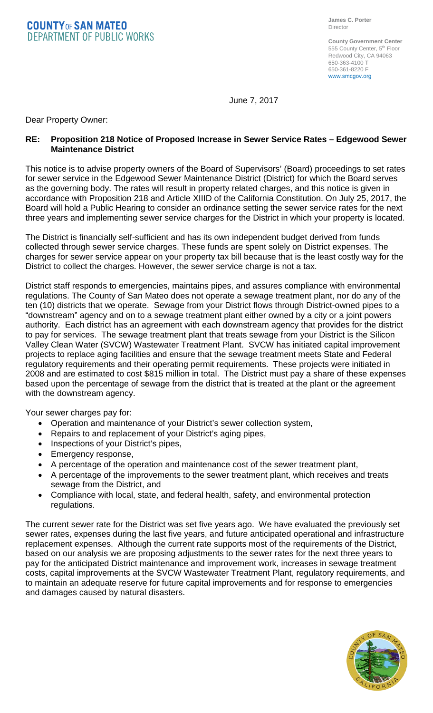**COUNTYOF SAN MATEO DEPARTMENT OF PUBLIC WORKS** 

**County Government Center** 555 County Center, 5<sup>th</sup> Floor Redwood City, CA 94063 650-363-4100 T 650-361-8220 F www.smcgov.org

June 7, 2017

Dear Property Owner:

## **RE: Proposition 218 Notice of Proposed Increase in Sewer Service Rates – Edgewood Sewer Maintenance District**

This notice is to advise property owners of the Board of Supervisors' (Board) proceedings to set rates for sewer service in the Edgewood Sewer Maintenance District (District) for which the Board serves as the governing body. The rates will result in property related charges, and this notice is given in accordance with Proposition 218 and Article XIIID of the California Constitution. On July 25, 2017, the Board will hold a Public Hearing to consider an ordinance setting the sewer service rates for the next three years and implementing sewer service charges for the District in which your property is located.

The District is financially self-sufficient and has its own independent budget derived from funds collected through sewer service charges. These funds are spent solely on District expenses. The charges for sewer service appear on your property tax bill because that is the least costly way for the District to collect the charges. However, the sewer service charge is not a tax.

District staff responds to emergencies, maintains pipes, and assures compliance with environmental regulations. The County of San Mateo does not operate a sewage treatment plant, nor do any of the ten (10) districts that we operate. Sewage from your District flows through District-owned pipes to a "downstream" agency and on to a sewage treatment plant either owned by a city or a joint powers authority. Each district has an agreement with each downstream agency that provides for the district to pay for services. The sewage treatment plant that treats sewage from your District is the Silicon Valley Clean Water (SVCW) Wastewater Treatment Plant. SVCW has initiated capital improvement projects to replace aging facilities and ensure that the sewage treatment meets State and Federal regulatory requirements and their operating permit requirements. These projects were initiated in 2008 and are estimated to cost \$815 million in total. The District must pay a share of these expenses based upon the percentage of sewage from the district that is treated at the plant or the agreement with the downstream agency.

Your sewer charges pay for:

- Operation and maintenance of your District's sewer collection system,
- Repairs to and replacement of your District's aging pipes,
- Inspections of your District's pipes,
- Emergency response,
- A percentage of the operation and maintenance cost of the sewer treatment plant,
- A percentage of the improvements to the sewer treatment plant, which receives and treats sewage from the District, and
- Compliance with local, state, and federal health, safety, and environmental protection regulations.

The current sewer rate for the District was set five years ago. We have evaluated the previously set sewer rates, expenses during the last five years, and future anticipated operational and infrastructure replacement expenses. Although the current rate supports most of the requirements of the District, based on our analysis we are proposing adjustments to the sewer rates for the next three years to pay for the anticipated District maintenance and improvement work, increases in sewage treatment costs, capital improvements at the SVCW Wastewater Treatment Plant, regulatory requirements, and to maintain an adequate reserve for future capital improvements and for response to emergencies and damages caused by natural disasters.